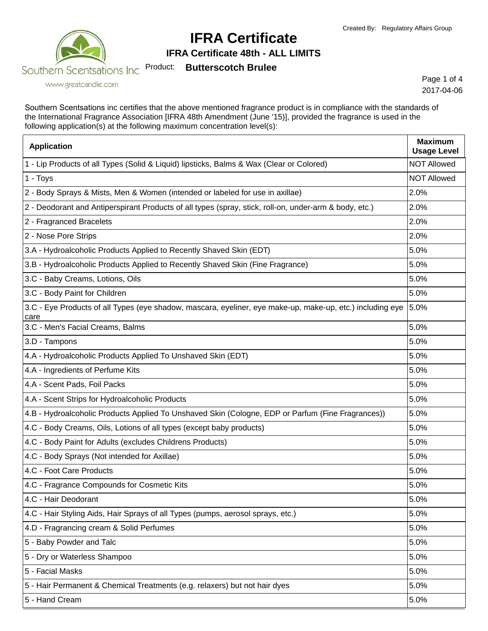

**IFRA Certificate 48th - ALL LIMITS**

Product: **Butterscotch Brulee**

www.greatcandle.com

Page 1 of 4 2017-04-06

Southern Scentsations inc certifies that the above mentioned fragrance product is in compliance with the standards of the International Fragrance Association [IFRA 48th Amendment (June '15)], provided the fragrance is used in the following application(s) at the following maximum concentration level(s):

| <b>Application</b>                                                                                                      | <b>Maximum</b><br><b>Usage Level</b> |
|-------------------------------------------------------------------------------------------------------------------------|--------------------------------------|
| 1 - Lip Products of all Types (Solid & Liquid) lipsticks, Balms & Wax (Clear or Colored)                                | <b>NOT Allowed</b>                   |
| 1 - Toys                                                                                                                | <b>NOT Allowed</b>                   |
| 2 - Body Sprays & Mists, Men & Women (intended or labeled for use in axillae)                                           | 2.0%                                 |
| 2 - Deodorant and Antiperspirant Products of all types (spray, stick, roll-on, under-arm & body, etc.)                  | 2.0%                                 |
| 2 - Fragranced Bracelets                                                                                                | 2.0%                                 |
| 2 - Nose Pore Strips                                                                                                    | 2.0%                                 |
| 3.A - Hydroalcoholic Products Applied to Recently Shaved Skin (EDT)                                                     | 5.0%                                 |
| 3.B - Hydroalcoholic Products Applied to Recently Shaved Skin (Fine Fragrance)                                          | 5.0%                                 |
| 3.C - Baby Creams, Lotions, Oils                                                                                        | 5.0%                                 |
| 3.C - Body Paint for Children                                                                                           | 5.0%                                 |
| 3.C - Eye Products of all Types (eye shadow, mascara, eyeliner, eye make-up, make-up, etc.) including eye  5.0%<br>care |                                      |
| 3.C - Men's Facial Creams, Balms                                                                                        | 5.0%                                 |
| 3.D - Tampons                                                                                                           | 5.0%                                 |
| 4.A - Hydroalcoholic Products Applied To Unshaved Skin (EDT)                                                            | 5.0%                                 |
| 4.A - Ingredients of Perfume Kits                                                                                       | 5.0%                                 |
| 4.A - Scent Pads, Foil Packs                                                                                            | 5.0%                                 |
| 4.A - Scent Strips for Hydroalcoholic Products                                                                          | 5.0%                                 |
| 4.B - Hydroalcoholic Products Applied To Unshaved Skin (Cologne, EDP or Parfum (Fine Fragrances))                       | 5.0%                                 |
| 4.C - Body Creams, Oils, Lotions of all types (except baby products)                                                    | 5.0%                                 |
| 4.C - Body Paint for Adults (excludes Childrens Products)                                                               | 5.0%                                 |
| 4.C - Body Sprays (Not intended for Axillae)                                                                            | 5.0%                                 |
| 4.C - Foot Care Products                                                                                                | 5.0%                                 |
| 4.C - Fragrance Compounds for Cosmetic Kits                                                                             | 5.0%                                 |
| 4.C - Hair Deodorant                                                                                                    | 5.0%                                 |
| 4.C - Hair Styling Aids, Hair Sprays of all Types (pumps, aerosol sprays, etc.)                                         | 5.0%                                 |
| 4.D - Fragrancing cream & Solid Perfumes                                                                                | 5.0%                                 |
| 5 - Baby Powder and Talc                                                                                                | 5.0%                                 |
| 5 - Dry or Waterless Shampoo                                                                                            | 5.0%                                 |
| 5 - Facial Masks                                                                                                        | 5.0%                                 |
| 5 - Hair Permanent & Chemical Treatments (e.g. relaxers) but not hair dyes                                              | 5.0%                                 |
| 5 - Hand Cream                                                                                                          | 5.0%                                 |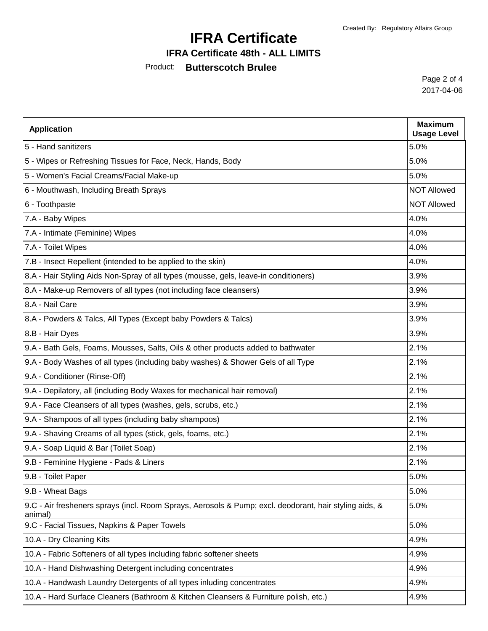### **IFRA Certificate 48th - ALL LIMITS**

### Product: **Butterscotch Brulee**

Page 2 of 4 2017-04-06

| <b>Application</b>                                                                                                | <b>Maximum</b><br><b>Usage Level</b> |
|-------------------------------------------------------------------------------------------------------------------|--------------------------------------|
| 5 - Hand sanitizers                                                                                               | 5.0%                                 |
| 5 - Wipes or Refreshing Tissues for Face, Neck, Hands, Body                                                       | 5.0%                                 |
| 5 - Women's Facial Creams/Facial Make-up                                                                          | 5.0%                                 |
| 6 - Mouthwash, Including Breath Sprays                                                                            | <b>NOT Allowed</b>                   |
| 6 - Toothpaste                                                                                                    | <b>NOT Allowed</b>                   |
| 7.A - Baby Wipes                                                                                                  | 4.0%                                 |
| 7.A - Intimate (Feminine) Wipes                                                                                   | 4.0%                                 |
| 7.A - Toilet Wipes                                                                                                | 4.0%                                 |
| 7.B - Insect Repellent (intended to be applied to the skin)                                                       | 4.0%                                 |
| 8.A - Hair Styling Aids Non-Spray of all types (mousse, gels, leave-in conditioners)                              | 3.9%                                 |
| 8.A - Make-up Removers of all types (not including face cleansers)                                                | 3.9%                                 |
| 8.A - Nail Care                                                                                                   | 3.9%                                 |
| 8.A - Powders & Talcs, All Types (Except baby Powders & Talcs)                                                    | 3.9%                                 |
| 8.B - Hair Dyes                                                                                                   | 3.9%                                 |
| 9.A - Bath Gels, Foams, Mousses, Salts, Oils & other products added to bathwater                                  | 2.1%                                 |
| 9.A - Body Washes of all types (including baby washes) & Shower Gels of all Type                                  | 2.1%                                 |
| 9.A - Conditioner (Rinse-Off)                                                                                     | 2.1%                                 |
| 9.A - Depilatory, all (including Body Waxes for mechanical hair removal)                                          | 2.1%                                 |
| 9.A - Face Cleansers of all types (washes, gels, scrubs, etc.)                                                    | 2.1%                                 |
| 9.A - Shampoos of all types (including baby shampoos)                                                             | 2.1%                                 |
| 9.A - Shaving Creams of all types (stick, gels, foams, etc.)                                                      | 2.1%                                 |
| 9.A - Soap Liquid & Bar (Toilet Soap)                                                                             | 2.1%                                 |
| 9.B - Feminine Hygiene - Pads & Liners                                                                            | 2.1%                                 |
| 9.B - Toilet Paper                                                                                                | 5.0%                                 |
| 9.B - Wheat Bags                                                                                                  | 5.0%                                 |
| 9.C - Air fresheners sprays (incl. Room Sprays, Aerosols & Pump; excl. deodorant, hair styling aids, &<br>animal) | 5.0%                                 |
| 9.C - Facial Tissues, Napkins & Paper Towels                                                                      | 5.0%                                 |
| 10.A - Dry Cleaning Kits                                                                                          | 4.9%                                 |
| 10.A - Fabric Softeners of all types including fabric softener sheets                                             | 4.9%                                 |
| 10.A - Hand Dishwashing Detergent including concentrates                                                          | 4.9%                                 |
| 10.A - Handwash Laundry Detergents of all types inluding concentrates                                             | 4.9%                                 |
| 10.A - Hard Surface Cleaners (Bathroom & Kitchen Cleansers & Furniture polish, etc.)                              | 4.9%                                 |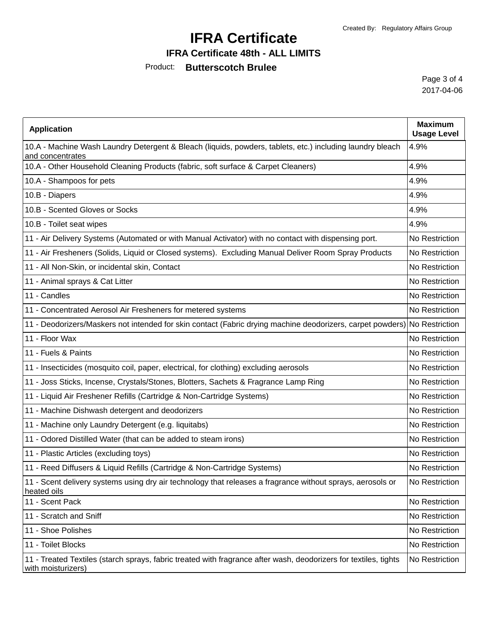### **IFRA Certificate 48th - ALL LIMITS**

### Product: **Butterscotch Brulee**

Page 3 of 4 2017-04-06

| <b>Application</b>                                                                                                                     | <b>Maximum</b><br><b>Usage Level</b> |
|----------------------------------------------------------------------------------------------------------------------------------------|--------------------------------------|
| 10.A - Machine Wash Laundry Detergent & Bleach (liquids, powders, tablets, etc.) including laundry bleach<br>and concentrates          | 4.9%                                 |
| 10.A - Other Household Cleaning Products (fabric, soft surface & Carpet Cleaners)                                                      | 4.9%                                 |
| 10.A - Shampoos for pets                                                                                                               | 4.9%                                 |
| 10.B - Diapers                                                                                                                         | 4.9%                                 |
| 10.B - Scented Gloves or Socks                                                                                                         | 4.9%                                 |
| 10.B - Toilet seat wipes                                                                                                               | 4.9%                                 |
| 11 - Air Delivery Systems (Automated or with Manual Activator) with no contact with dispensing port.                                   | No Restriction                       |
| 11 - Air Fresheners (Solids, Liquid or Closed systems). Excluding Manual Deliver Room Spray Products                                   | No Restriction                       |
| 11 - All Non-Skin, or incidental skin, Contact                                                                                         | No Restriction                       |
| 11 - Animal sprays & Cat Litter                                                                                                        | No Restriction                       |
| 11 - Candles                                                                                                                           | No Restriction                       |
| 11 - Concentrated Aerosol Air Fresheners for metered systems                                                                           | No Restriction                       |
| 11 - Deodorizers/Maskers not intended for skin contact (Fabric drying machine deodorizers, carpet powders) No Restriction              |                                      |
| 11 - Floor Wax                                                                                                                         | No Restriction                       |
| 11 - Fuels & Paints                                                                                                                    | No Restriction                       |
| 11 - Insecticides (mosquito coil, paper, electrical, for clothing) excluding aerosols                                                  | No Restriction                       |
| 11 - Joss Sticks, Incense, Crystals/Stones, Blotters, Sachets & Fragrance Lamp Ring                                                    | No Restriction                       |
| 11 - Liquid Air Freshener Refills (Cartridge & Non-Cartridge Systems)                                                                  | No Restriction                       |
| 11 - Machine Dishwash detergent and deodorizers                                                                                        | No Restriction                       |
| 11 - Machine only Laundry Detergent (e.g. liquitabs)                                                                                   | No Restriction                       |
| 11 - Odored Distilled Water (that can be added to steam irons)                                                                         | No Restriction                       |
| 11 - Plastic Articles (excluding toys)                                                                                                 | No Restriction                       |
| 11 - Reed Diffusers & Liquid Refills (Cartridge & Non-Cartridge Systems)                                                               | No Restriction                       |
| 11 - Scent delivery systems using dry air technology that releases a fragrance without sprays, aerosols or<br>heated oils              | No Restriction                       |
| 11 - Scent Pack                                                                                                                        | No Restriction                       |
| 11 - Scratch and Sniff                                                                                                                 | No Restriction                       |
| 11 - Shoe Polishes                                                                                                                     | No Restriction                       |
| 11 - Toilet Blocks                                                                                                                     | No Restriction                       |
| 11 - Treated Textiles (starch sprays, fabric treated with fragrance after wash, deodorizers for textiles, tights<br>with moisturizers) | No Restriction                       |